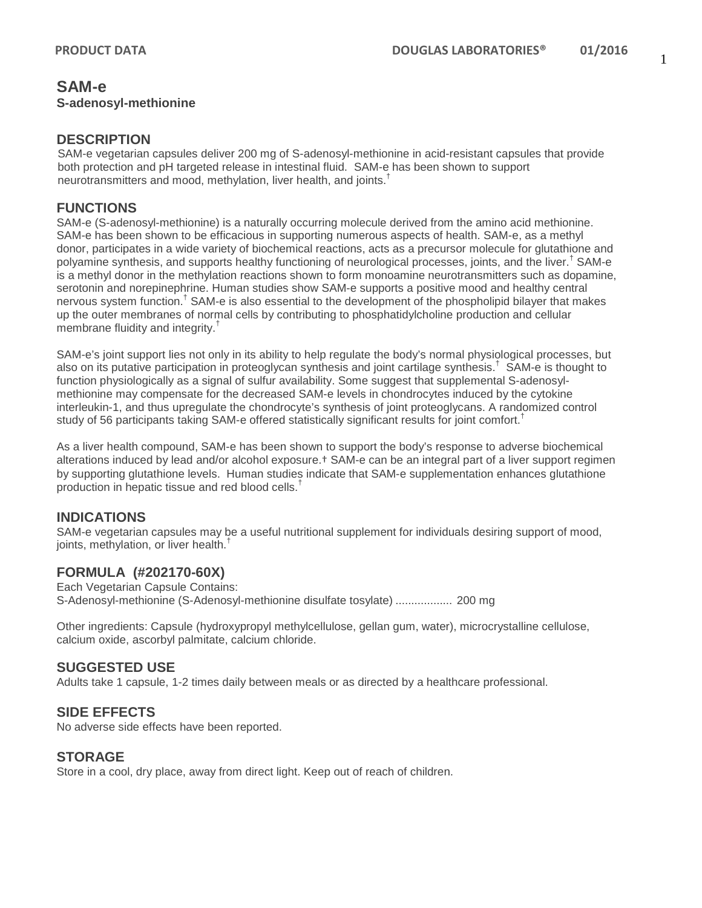## **SAM-e S-adenosyl-methionine**

## **DESCRIPTION**

SAM-e vegetarian capsules deliver 200 mg of S-adenosyl-methionine in acid-resistant capsules that provide both protection and pH targeted release in intestinal fluid. SAM-e has been shown to support neurotransmitters and mood, methylation, liver health, and joints.<sup>†</sup>

# **FUNCTIONS**

SAM-e (S-adenosyl-methionine) is a naturally occurring molecule derived from the amino acid methionine. SAM-e has been shown to be efficacious in supporting numerous aspects of health. SAM-e, as a methyl donor, participates in a wide variety of biochemical reactions, acts as a precursor molecule for glutathione and polyamine synthesis, and supports healthy functioning of neurological processes, joints, and the liver.† SAM-e is a methyl donor in the methylation reactions shown to form monoamine neurotransmitters such as dopamine, serotonin and norepinephrine. Human studies show SAM-e supports a positive mood and healthy central nervous system function.<sup>†</sup> SAM-e is also essential to the development of the phospholipid bilayer that makes up the outer membranes of normal cells by contributing to phosphatidylcholine production and cellular membrane fluidity and integrity.†

SAM-e's joint support lies not only in its ability to help regulate the body's normal physiological processes, but also on its putative participation in proteoglycan synthesis and joint cartilage synthesis. † SAM-e is thought to function physiologically as a signal of sulfur availability. Some suggest that supplemental S-adenosylmethionine may compensate for the decreased SAM-e levels in chondrocytes induced by the cytokine interleukin-1, and thus upregulate the chondrocyte's synthesis of joint proteoglycans. A randomized control study of 56 participants taking SAM-e offered statistically significant results for joint comfort.<sup>†</sup>

As a liver health compound, SAM-e has been shown to support the body's response to adverse biochemical alterations induced by lead and/or alcohol exposure.† SAM-e can be an integral part of a liver support regimen by supporting glutathione levels. Human studies indicate that SAM-e supplementation enhances glutathione production in hepatic tissue and red blood cells.†

# **INDICATIONS**

SAM-e vegetarian capsules may be a useful nutritional supplement for individuals desiring support of mood, joints, methylation, or liver health.<sup>†</sup>

# **FORMULA (#202170-60X)**

Each Vegetarian Capsule Contains: S-Adenosyl-methionine (S-Adenosyl-methionine disulfate tosylate) .................. 200 mg

Other ingredients: Capsule (hydroxypropyl methylcellulose, gellan gum, water), microcrystalline cellulose, calcium oxide, ascorbyl palmitate, calcium chloride.

# **SUGGESTED USE**

Adults take 1 capsule, 1-2 times daily between meals or as directed by a healthcare professional.

# **SIDE EFFECTS**

No adverse side effects have been reported.

### **STORAGE**

Store in a cool, dry place, away from direct light. Keep out of reach of children.